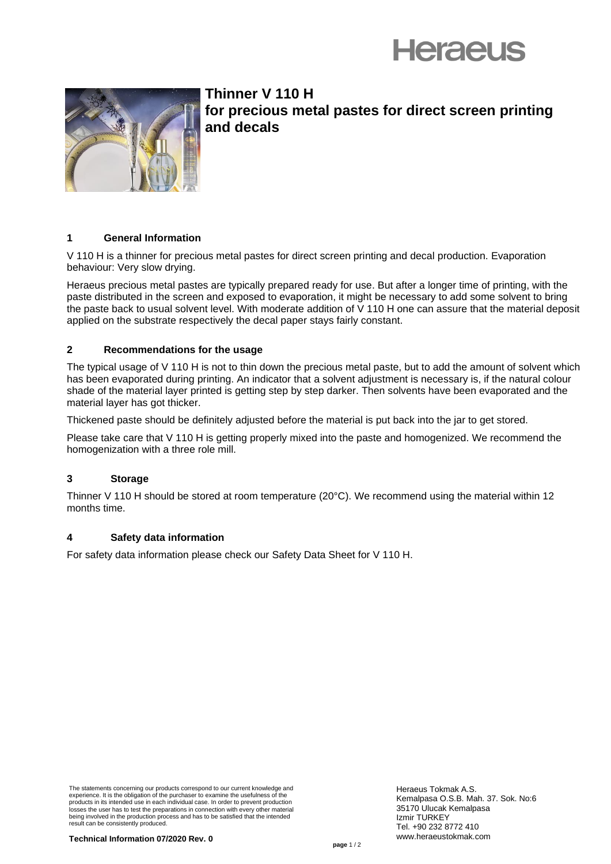



**Thinner V 110 H for precious metal pastes for direct screen printing and decals**

# **1 General Information**

V 110 H is a thinner for precious metal pastes for direct screen printing and decal production. Evaporation behaviour: Very slow drying.

Heraeus precious metal pastes are typically prepared ready for use. But after a longer time of printing, with the paste distributed in the screen and exposed to evaporation, it might be necessary to add some solvent to bring the paste back to usual solvent level. With moderate addition of V 110 H one can assure that the material deposit applied on the substrate respectively the decal paper stays fairly constant.

# **2 Recommendations for the usage**

The typical usage of V 110 H is not to thin down the precious metal paste, but to add the amount of solvent which has been evaporated during printing. An indicator that a solvent adjustment is necessary is, if the natural colour shade of the material layer printed is getting step by step darker. Then solvents have been evaporated and the material layer has got thicker.

Thickened paste should be definitely adjusted before the material is put back into the jar to get stored.

Please take care that V 110 H is getting properly mixed into the paste and homogenized. We recommend the homogenization with a three role mill.

# **3 Storage**

Thinner V 110 H should be stored at room temperature (20°C). We recommend using the material within 12 months time.

# **4 Safety data information**

For safety data information please check our Safety Data Sheet for V 110 H.

The statements concerning our products correspond to our current knowledge and experience. It is the obligation of the purchaser to examine the usefulness of the products in its intended use in each individual case. In order to prevent production losses the user has to test the preparations in connection with every other material being involved in the production process and has to be satisfied that the intended result can be consistently produced.